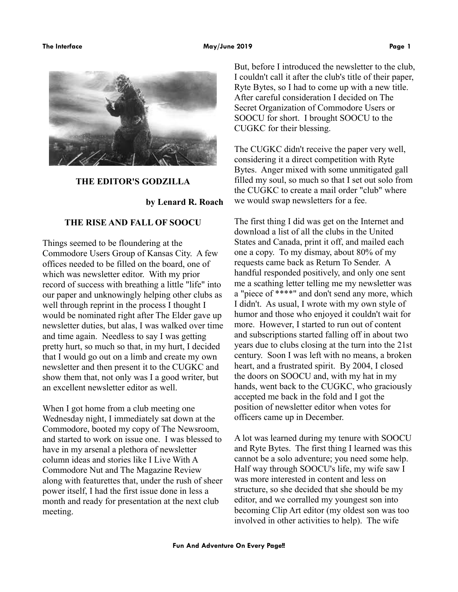### The Interface **May/June 2019 May/June 2019 Page 1**



## **THE EDITOR'S GODZILLA**

**by Lenard R. Roach**

# **THE RISE AND FALL OF SOOCU**

Things seemed to be floundering at the Commodore Users Group of Kansas City. A few offices needed to be filled on the board, one of which was newsletter editor. With my prior record of success with breathing a little "life" into our paper and unknowingly helping other clubs as well through reprint in the process I thought I would be nominated right after The Elder gave up newsletter duties, but alas, I was walked over time and time again. Needless to say I was getting pretty hurt, so much so that, in my hurt, I decided that I would go out on a limb and create my own newsletter and then present it to the CUGKC and show them that, not only was I a good writer, but an excellent newsletter editor as well.

When I got home from a club meeting one Wednesday night, I immediately sat down at the Commodore, booted my copy of The Newsroom, and started to work on issue one. I was blessed to have in my arsenal a plethora of newsletter column ideas and stories like I Live With A Commodore Nut and The Magazine Review along with featurettes that, under the rush of sheer power itself, I had the first issue done in less a month and ready for presentation at the next club meeting.

But, before I introduced the newsletter to the club, I couldn't call it after the club's title of their paper, Ryte Bytes, so I had to come up with a new title. After careful consideration I decided on The Secret Organization of Commodore Users or SOOCU for short. I brought SOOCU to the CUGKC for their blessing.

The CUGKC didn't receive the paper very well, considering it a direct competition with Ryte Bytes. Anger mixed with some unmitigated gall filled my soul, so much so that I set out solo from the CUGKC to create a mail order "club" where we would swap newsletters for a fee.

The first thing I did was get on the Internet and download a list of all the clubs in the United States and Canada, print it off, and mailed each one a copy. To my dismay, about 80% of my requests came back as Return To Sender. A handful responded positively, and only one sent me a scathing letter telling me my newsletter was a "piece of \*\*\*\*" and don't send any more, which I didn't. As usual, I wrote with my own style of humor and those who enjoyed it couldn't wait for more. However, I started to run out of content and subscriptions started falling off in about two years due to clubs closing at the turn into the 21st century. Soon I was left with no means, a broken heart, and a frustrated spirit. By 2004, I closed the doors on SOOCU and, with my hat in my hands, went back to the CUGKC, who graciously accepted me back in the fold and I got the position of newsletter editor when votes for officers came up in December.

A lot was learned during my tenure with SOOCU and Ryte Bytes. The first thing I learned was this cannot be a solo adventure; you need some help. Half way through SOOCU's life, my wife saw I was more interested in content and less on structure, so she decided that she should be my editor, and we corralled my youngest son into becoming Clip Art editor (my oldest son was too involved in other activities to help). The wife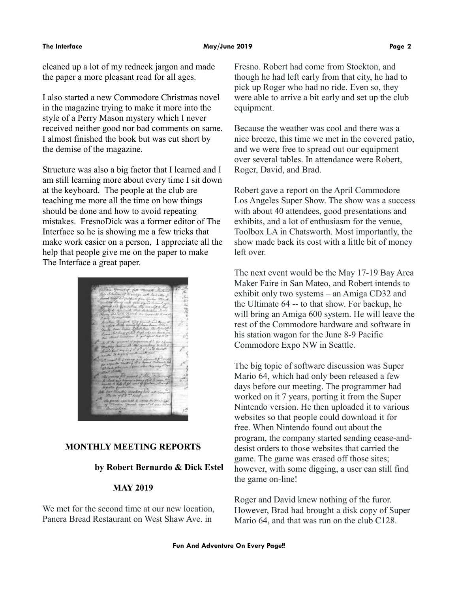cleaned up a lot of my redneck jargon and made the paper a more pleasant read for all ages.

I also started a new Commodore Christmas novel in the magazine trying to make it more into the style of a Perry Mason mystery which I never received neither good nor bad comments on same. I almost finished the book but was cut short by the demise of the magazine.

Structure was also a big factor that I learned and I am still learning more about every time I sit down at the keyboard. The people at the club are teaching me more all the time on how things should be done and how to avoid repeating mistakes. FresnoDick was a former editor of The Interface so he is showing me a few tricks that make work easier on a person, I appreciate all the help that people give me on the paper to make The Interface a great paper.



# **MONTHLY MEETING REPORTS**

# **by Robert Bernardo & Dick Estel**

## **MAY 2019**

We met for the second time at our new location, Panera Bread Restaurant on West Shaw Ave. in

Fresno. Robert had come from Stockton, and though he had left early from that city, he had to pick up Roger who had no ride. Even so, they were able to arrive a bit early and set up the club equipment.

Because the weather was cool and there was a nice breeze, this time we met in the covered patio, and we were free to spread out our equipment over several tables. In attendance were Robert, Roger, David, and Brad.

Robert gave a report on the April Commodore Los Angeles Super Show. The show was a success with about 40 attendees, good presentations and exhibits, and a lot of enthusiasm for the venue, Toolbox LA in Chatsworth. Most importantly, the show made back its cost with a little bit of money left over.

The next event would be the May 17-19 Bay Area Maker Faire in San Mateo, and Robert intends to exhibit only two systems – an Amiga CD32 and the Ultimate 64 -- to that show. For backup, he will bring an Amiga 600 system. He will leave the rest of the Commodore hardware and software in his station wagon for the June 8-9 Pacific Commodore Expo NW in Seattle.

The big topic of software discussion was Super Mario 64, which had only been released a few days before our meeting. The programmer had worked on it 7 years, porting it from the Super Nintendo version. He then uploaded it to various websites so that people could download it for free. When Nintendo found out about the program, the company started sending cease-anddesist orders to those websites that carried the game. The game was erased off those sites; however, with some digging, a user can still find the game on-line!

Roger and David knew nothing of the furor. However, Brad had brought a disk copy of Super Mario 64, and that was run on the club C128.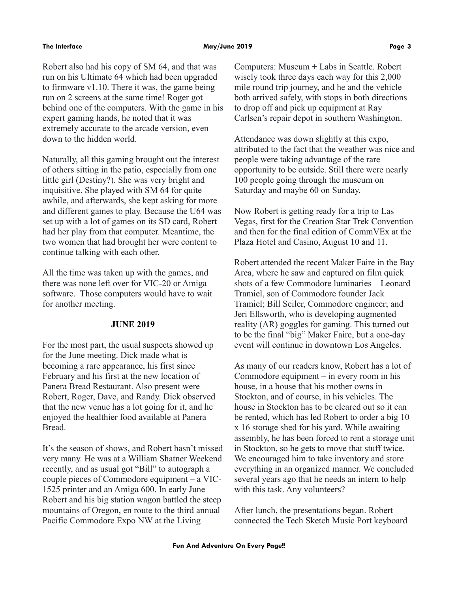## **The Interface May/June 2019 Page 3**

Robert also had his copy of SM 64, and that was run on his Ultimate 64 which had been upgraded to firmware v1.10. There it was, the game being run on 2 screens at the same time! Roger got behind one of the computers. With the game in his expert gaming hands, he noted that it was extremely accurate to the arcade version, even down to the hidden world.

Naturally, all this gaming brought out the interest of others sitting in the patio, especially from one little girl (Destiny?). She was very bright and inquisitive. She played with SM 64 for quite awhile, and afterwards, she kept asking for more and different games to play. Because the U64 was set up with a lot of games on its SD card, Robert had her play from that computer. Meantime, the two women that had brought her were content to continue talking with each other.

All the time was taken up with the games, and there was none left over for VIC-20 or Amiga software. Those computers would have to wait for another meeting.

## **JUNE 2019**

For the most part, the usual suspects showed up for the June meeting. Dick made what is becoming a rare appearance, his first since February and his first at the new location of Panera Bread Restaurant. Also present were Robert, Roger, Dave, and Randy. Dick observed that the new venue has a lot going for it, and he enjoyed the healthier food available at Panera Bread.

It's the season of shows, and Robert hasn't missed very many. He was at a William Shatner Weekend recently, and as usual got "Bill" to autograph a couple pieces of Commodore equipment – a VIC-1525 printer and an Amiga 600. In early June Robert and his big station wagon battled the steep mountains of Oregon, en route to the third annual Pacific Commodore Expo NW at the Living

Computers: Museum + Labs in Seattle. Robert wisely took three days each way for this 2,000 mile round trip journey, and he and the vehicle both arrived safely, with stops in both directions to drop off and pick up equipment at Ray Carlsen's repair depot in southern Washington.

Attendance was down slightly at this expo, attributed to the fact that the weather was nice and people were taking advantage of the rare opportunity to be outside. Still there were nearly 100 people going through the museum on Saturday and maybe 60 on Sunday.

Now Robert is getting ready for a trip to Las Vegas, first for the Creation Star Trek Convention and then for the final edition of CommVEx at the Plaza Hotel and Casino, August 10 and 11.

Robert attended the recent Maker Faire in the Bay Area, where he saw and captured on film quick shots of a few Commodore luminaries – Leonard Tramiel, son of Commodore founder Jack Tramiel; Bill Seiler, Commodore engineer; and Jeri Ellsworth, who is developing augmented reality (AR) goggles for gaming. This turned out to be the final "big" Maker Faire, but a one-day event will continue in downtown Los Angeles.

As many of our readers know, Robert has a lot of Commodore equipment – in every room in his house, in a house that his mother owns in Stockton, and of course, in his vehicles. The house in Stockton has to be cleared out so it can be rented, which has led Robert to order a big 10 x 16 storage shed for his yard. While awaiting assembly, he has been forced to rent a storage unit in Stockton, so he gets to move that stuff twice. We encouraged him to take inventory and store everything in an organized manner. We concluded several years ago that he needs an intern to help with this task. Any volunteers?

After lunch, the presentations began. Robert connected the Tech Sketch Music Port keyboard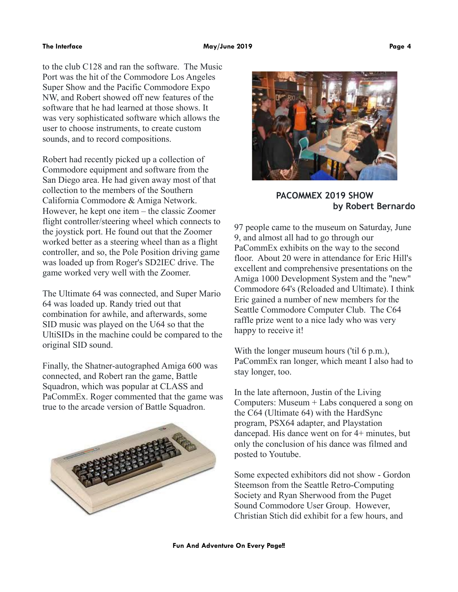### **The Interface May/June 2019 Page 4**

to the club C128 and ran the software. The Music Port was the hit of the Commodore Los Angeles Super Show and the Pacific Commodore Expo NW, and Robert showed off new features of the software that he had learned at those shows. It was very sophisticated software which allows the user to choose instruments, to create custom sounds, and to record compositions.

Robert had recently picked up a collection of Commodore equipment and software from the San Diego area. He had given away most of that collection to the members of the Southern California Commodore & Amiga Network. However, he kept one item – the classic Zoomer flight controller/steering wheel which connects to the joystick port. He found out that the Zoomer worked better as a steering wheel than as a flight controller, and so, the Pole Position driving game was loaded up from Roger's SD2IEC drive. The game worked very well with the Zoomer.

The Ultimate 64 was connected, and Super Mario 64 was loaded up. Randy tried out that combination for awhile, and afterwards, some SID music was played on the U64 so that the UltiSIDs in the machine could be compared to the original SID sound.

Finally, the Shatner-autographed Amiga 600 was connected, and Robert ran the game, Battle Squadron, which was popular at CLASS and PaCommEx. Roger commented that the game was true to the arcade version of Battle Squadron.





**PACOMMEX 2019 SHOW by Robert Bernardo**

97 people came to the museum on Saturday, June 9, and almost all had to go through our PaCommEx exhibits on the way to the second floor. About 20 were in attendance for Eric Hill's excellent and comprehensive presentations on the Amiga 1000 Development System and the "new" Commodore 64's (Reloaded and Ultimate). I think Eric gained a number of new members for the Seattle Commodore Computer Club. The C64 raffle prize went to a nice lady who was very happy to receive it!

With the longer museum hours ('til 6 p.m.), PaCommEx ran longer, which meant I also had to stay longer, too.

In the late afternoon, Justin of the Living Computers: Museum + Labs conquered a song on the C64 (Ultimate 64) with the HardSync program, PSX64 adapter, and Playstation dancepad. His dance went on for 4+ minutes, but only the conclusion of his dance was filmed and posted to Youtube.

Some expected exhibitors did not show - Gordon Steemson from the Seattle Retro-Computing Society and Ryan Sherwood from the Puget Sound Commodore User Group. However, Christian Stich did exhibit for a few hours, and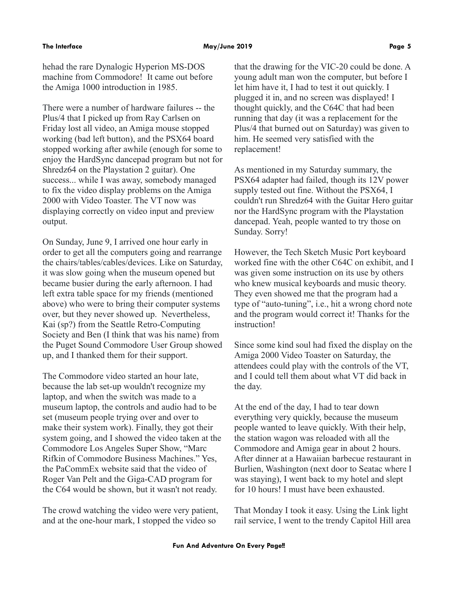hehad the rare Dynalogic Hyperion MS-DOS machine from Commodore! It came out before the Amiga 1000 introduction in 1985.

There were a number of hardware failures -- the Plus/4 that I picked up from Ray Carlsen on Friday lost all video, an Amiga mouse stopped working (bad left button), and the PSX64 board stopped working after awhile (enough for some to enjoy the HardSync dancepad program but not for Shredz64 on the Playstation 2 guitar). One success... while I was away, somebody managed to fix the video display problems on the Amiga 2000 with Video Toaster. The VT now was displaying correctly on video input and preview output.

On Sunday, June 9, I arrived one hour early in order to get all the computers going and rearrange the chairs/tables/cables/devices. Like on Saturday, it was slow going when the museum opened but became busier during the early afternoon. I had left extra table space for my friends (mentioned above) who were to bring their computer systems over, but they never showed up. Nevertheless, Kai (sp?) from the Seattle Retro-Computing Society and Ben (I think that was his name) from the Puget Sound Commodore User Group showed up, and I thanked them for their support.

The Commodore video started an hour late, because the lab set-up wouldn't recognize my laptop, and when the switch was made to a museum laptop, the controls and audio had to be set (museum people trying over and over to make their system work). Finally, they got their system going, and I showed the video taken at the Commodore Los Angeles Super Show, "Marc Rifkin of Commodore Business Machines." Yes, the PaCommEx website said that the video of Roger Van Pelt and the Giga-CAD program for the C64 would be shown, but it wasn't not ready.

The crowd watching the video were very patient, and at the one-hour mark, I stopped the video so

that the drawing for the VIC-20 could be done. A young adult man won the computer, but before I let him have it, I had to test it out quickly. I plugged it in, and no screen was displayed! I thought quickly, and the C64C that had been running that day (it was a replacement for the Plus/4 that burned out on Saturday) was given to him. He seemed very satisfied with the replacement!

As mentioned in my Saturday summary, the PSX64 adapter had failed, though its 12V power supply tested out fine. Without the PSX64, I couldn't run Shredz64 with the Guitar Hero guitar nor the HardSync program with the Playstation dancepad. Yeah, people wanted to try those on Sunday. Sorry!

However, the Tech Sketch Music Port keyboard worked fine with the other C64C on exhibit, and I was given some instruction on its use by others who knew musical keyboards and music theory. They even showed me that the program had a type of "auto-tuning", i.e., hit a wrong chord note and the program would correct it! Thanks for the instruction!

Since some kind soul had fixed the display on the Amiga 2000 Video Toaster on Saturday, the attendees could play with the controls of the VT, and I could tell them about what VT did back in the day.

At the end of the day, I had to tear down everything very quickly, because the museum people wanted to leave quickly. With their help, the station wagon was reloaded with all the Commodore and Amiga gear in about 2 hours. After dinner at a Hawaiian barbecue restaurant in Burlien, Washington (next door to Seatac where I was staying), I went back to my hotel and slept for 10 hours! I must have been exhausted.

That Monday I took it easy. Using the Link light rail service, I went to the trendy Capitol Hill area